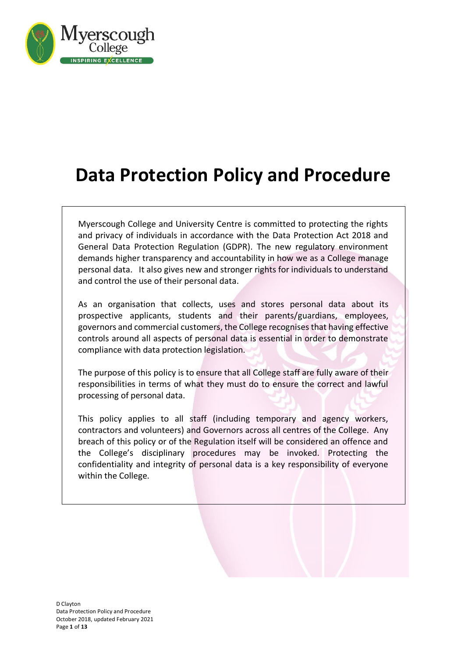

# **Data Protection Policy and Procedure**

Myerscough College and University Centre is committed to protecting the rights and privacy of individuals in accordance with the Data Protection Act 2018 and General Data Protection Regulation (GDPR). The new regulatory environment demands higher transparency and accountability in how we as a College manage personal data. It also gives new and stronger rights for individuals to understand and control the use of their personal data.

As an organisation that collects, uses and stores personal data about its prospective applicants, students and their parents/guardians, employees, governors and commercial customers, the College recognises that having effective controls around all aspects of personal data is essential in order to demonstrate compliance with data protection legislation.

The purpose of this policy is to ensure that all College staff are fully aware of their responsibilities in terms of what they must do to ensure the correct and lawful processing of personal data.

This policy applies to all staff (including temporary and agency workers, contractors and volunteers) and Governors across all centres of the College. Any breach of this policy or of the Regulation itself will be considered an offence and the College's disciplinary procedures may be invoked. Protecting the confidentiality and integrity of personal data is a key responsibility of everyone within the College.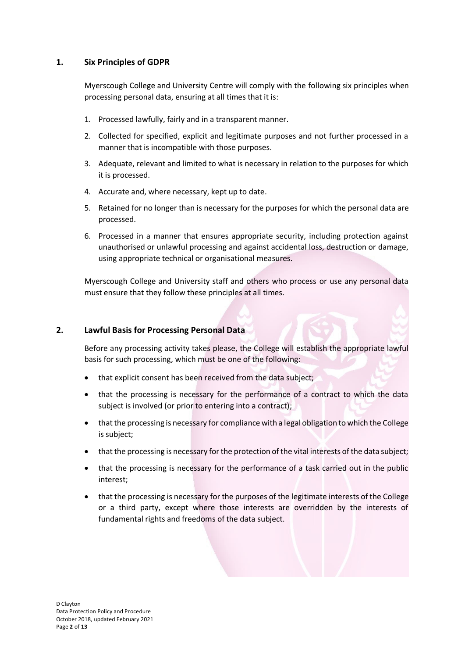# **1. Six Principles of GDPR**

Myerscough College and University Centre will comply with the following six principles when processing personal data, ensuring at all times that it is:

- 1. Processed lawfully, fairly and in a transparent manner.
- 2. Collected for specified, explicit and legitimate purposes and not further processed in a manner that is incompatible with those purposes.
- 3. Adequate, relevant and limited to what is necessary in relation to the purposes for which it is processed.
- 4. Accurate and, where necessary, kept up to date.
- 5. Retained for no longer than is necessary for the purposes for which the personal data are processed.
- 6. Processed in a manner that ensures appropriate security, including protection against unauthorised or unlawful processing and against accidental loss, destruction or damage, using appropriate technical or organisational measures.

Myerscough College and University staff and others who process or use any personal data must ensure that they follow these principles at all times.

# **2. Lawful Basis for Processing Personal Data**

Before any processing activity takes please, the College will establish the appropriate lawful basis for such processing, which must be one of the following:

- that explicit consent has been received from the data subject;
- that the processing is necessary for the performance of a contract to which the data subject is involved (or prior to entering into a contract);
- that the processing is necessary for compliance with a legal obligation to which the College is subject;
- thatthe processing is necessary for the protection of the vital interests of the data subject;
- that the processing is necessary for the performance of a task carried out in the public interest;
- that the processing is necessary for the purposes of the legitimate interests of the College or a third party, except where those interests are overridden by the interests of fundamental rights and freedoms of the data subject.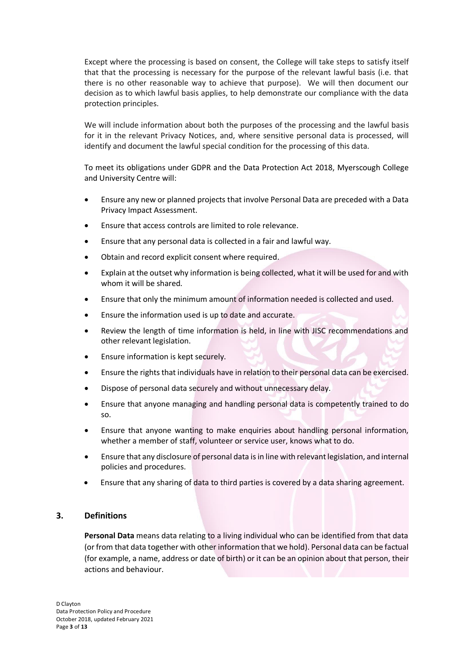Except where the processing is based on consent, the College will take steps to satisfy itself that that the processing is necessary for the purpose of the relevant lawful basis (i.e. that there is no other reasonable way to achieve that purpose). We will then document our decision as to which lawful basis applies, to help demonstrate our compliance with the data protection principles.

We will include information about both the purposes of the processing and the lawful basis for it in the relevant Privacy Notices, and, where sensitive personal data is processed, will identify and document the lawful special condition for the processing of this data.

To meet its obligations under GDPR and the Data Protection Act 2018, Myerscough College and University Centre will:

- Ensure any new or planned projects that involve Personal Data are preceded with a Data Privacy Impact Assessment.
- Ensure that access controls are limited to role relevance.
- Ensure that any personal data is collected in a fair and lawful way.
- Obtain and record explicit consent where required.
- Explain at the outset why information is being collected, what it will be used for and with whom it will be shared.
- Ensure that only the minimum amount of information needed is collected and used.
- Ensure the information used is up to date and accurate.
- Review the length of time information is held, in line with JISC recommendations and other relevant legislation.
- Ensure information is kept securely.
- Ensure the rights that individuals have in relation to their personal data can be exercised.
- Dispose of personal data securely and without unnecessary delay.
- Ensure that anyone managing and handling personal data is competently trained to do so.
- Ensure that anyone wanting to make enquiries about handling personal information, whether a member of staff, volunteer or service user, knows what to do.
- Ensure that any disclosure of personal data isin line with relevant legislation, and internal policies and procedures.
- Ensure that any sharing of data to third parties is covered by a data sharing agreement.

# **3. Definitions**

**Personal Data** means data relating to a living individual who can be identified from that data (or from that data together with other information that we hold). Personal data can be factual (for example, a name, address or date of birth) or it can be an opinion about that person, their actions and behaviour.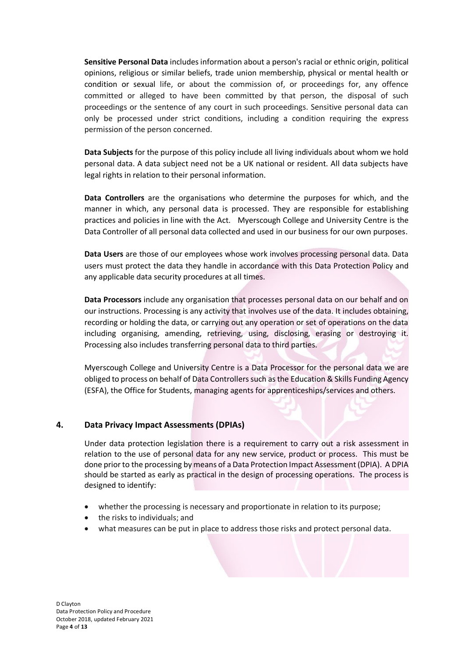**Sensitive Personal Data** includes information about a person's racial or ethnic origin, political opinions, religious or similar beliefs, trade union membership, physical or mental health or condition or sexual life, or about the commission of, or proceedings for, any offence committed or alleged to have been committed by that person, the disposal of such proceedings or the sentence of any court in such proceedings. Sensitive personal data can only be processed under strict conditions, including a condition requiring the express permission of the person concerned.

**Data Subjects** for the purpose of this policy include all living individuals about whom we hold personal data. A data subject need not be a UK national or resident. All data subjects have legal rights in relation to their personal information.

**Data Controllers** are the organisations who determine the purposes for which, and the manner in which, any personal data is processed. They are responsible for establishing practices and policies in line with the Act. Myerscough College and University Centre is the Data Controller of all personal data collected and used in our business for our own purposes.

**Data Users** are those of our employees whose work involves processing personal data. Data users must protect the data they handle in accordance with this Data Protection Policy and any applicable data security procedures at all times.

**Data Processors** include any organisation that processes personal data on our behalf and on our instructions. Processing is any activity that involves use of the data. It includes obtaining, recording or holding the data, or carrying out any operation or set of operations on the data including organising, amending, retrieving, using, disclosing, erasing or destroying it. Processing also includes transferring personal data to third parties.

Myerscough College and University Centre is a Data Processor for the personal data we are obliged to process on behalf of Data Controllers such as the Education & Skills Funding Agency (ESFA), the Office for Students, managing agents for apprenticeships/services and others.

# **4. Data Privacy Impact Assessments (DPIAs)**

Under data protection legislation there is a requirement to carry out a risk assessment in relation to the use of personal data for any new service, product or process. This must be done prior to the processing by means of a Data Protection Impact Assessment (DPIA). A DPIA should be started as early as practical in the design of processing operations. The process is designed to identify:

- whether the processing is necessary and proportionate in relation to its purpose;
- the risks to individuals; and
- what measures can be put in place to address those risks and protect personal data.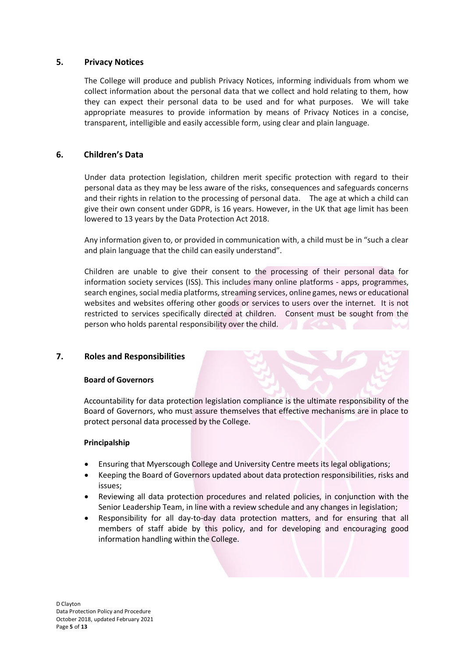## **5. Privacy Notices**

The College will produce and publish Privacy Notices, informing individuals from whom we collect information about the personal data that we collect and hold relating to them, how they can expect their personal data to be used and for what purposes. We will take appropriate measures to provide information by means of Privacy Notices in a concise, transparent, intelligible and easily accessible form, using clear and plain language.

# **6. Children's Data**

Under data protection legislation, children merit specific protection with regard to their personal data as they may be less aware of the risks, consequences and safeguards concerns and their rights in relation to the processing of personal data. The age at which a child can give their own consent under GDPR, is 16 years. However, in the UK that age limit has been lowered to 13 years by the Data Protection Act 2018.

Any information given to, or provided in communication with, a child must be in "such a clear and plain language that the child can easily understand".

Children are unable to give their consent to the processing of their personal data for information society services (ISS). This includes many online platforms - apps, programmes, search engines, social media platforms, streaming services, online games, news or educational websites and websites offering other goods or services to users over the internet. It is not restricted to services specifically directed at children. Consent must be sought from the person who holds parental responsibility over the child.

# **7. Roles and Responsibilities**

#### **Board of Governors**

Accountability for data protection legislation compliance is the ultimate responsibility of the Board of Governors, who must assure themselves that effective mechanisms are in place to protect personal data processed by the College.

#### **Principalship**

- Ensuring that Myerscough College and University Centre meets its legal obligations;
- Keeping the Board of Governors updated about data protection responsibilities, risks and issues;
- Reviewing all data protection procedures and related policies, in conjunction with the Senior Leadership Team, in line with a review schedule and any changes in legislation;
- Responsibility for all day-to-day data protection matters, and for ensuring that all members of staff abide by this policy, and for developing and encouraging good information handling within the College.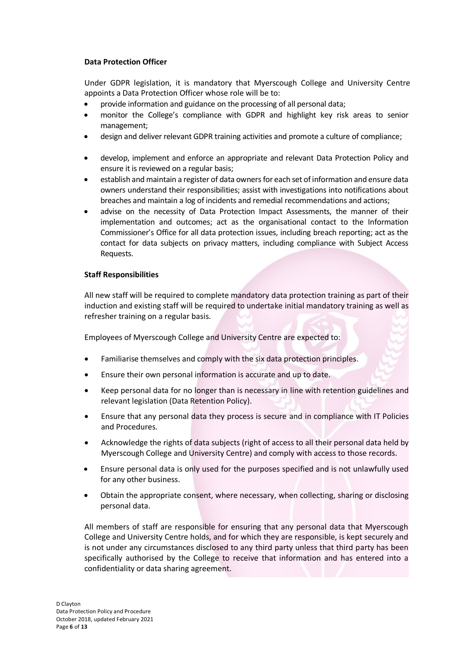#### **Data Protection Officer**

Under GDPR legislation, it is mandatory that Myerscough College and University Centre appoints a Data Protection Officer whose role will be to:

- provide information and guidance on the processing of all personal data;
- monitor the College's compliance with GDPR and highlight key risk areas to senior management;
- design and deliver relevant GDPR training activities and promote a culture of compliance;
- develop, implement and enforce an appropriate and relevant Data Protection Policy and ensure it is reviewed on a regular basis;
- establish and maintain a register of data owners for each set of information and ensure data owners understand their responsibilities; assist with investigations into notifications about breaches and maintain a log of incidents and remedial recommendations and actions;
- advise on the necessity of Data Protection Impact Assessments, the manner of their implementation and outcomes; act as the organisational contact to the Information Commissioner's Office for all data protection issues, including breach reporting; act as the contact for data subjects on privacy matters, including compliance with Subject Access Requests.

## **Staff Responsibilities**

All new staff will be required to complete mandatory data protection training as part of their induction and existing staff will be required to undertake initial mandatory training as well as refresher training on a regular basis.

Employees of Myerscough College and University Centre are expected to:

- Familiarise themselves and comply with the six data protection principles.
- Ensure their own personal information is accurate and up to date.
- Keep personal data for no longer than is necessary in line with retention guidelines and relevant legislation (Data Retention Policy).
- Ensure that any personal data they process is secure and in compliance with IT Policies and Procedures.
- Acknowledge the rights of data subjects (right of access to all their personal data held by Myerscough College and University Centre) and comply with access to those records.
- Ensure personal data is only used for the purposes specified and is not unlawfully used for any other business.
- Obtain the appropriate consent, where necessary, when collecting, sharing or disclosing personal data.

All members of staff are responsible for ensuring that any personal data that Myerscough College and University Centre holds, and for which they are responsible, is kept securely and is not under any circumstances disclosed to any third party unless that third party has been specifically authorised by the College to receive that information and has entered into a confidentiality or data sharing agreement.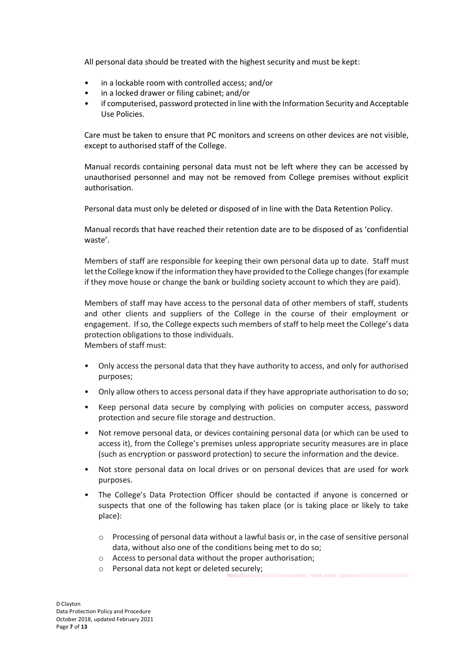All personal data should be treated with the highest security and must be kept:

- in a lockable room with controlled access; and/or
- in a locked drawer or filing cabinet; and/or
- if computerised, password protected in line with the Information Security and Acceptable Use Policies.

Care must be taken to ensure that PC monitors and screens on other devices are not visible, except to authorised staff of the College.

Manual records containing personal data must not be left where they can be accessed by unauthorised personnel and may not be removed from College premises without explicit authorisation.

Personal data must only be deleted or disposed of in line with the Data Retention Policy.

Manual records that have reached their retention date are to be disposed of as 'confidential waste'.

Members of staff are responsible for keeping their own personal data up to date. Staff must letthe College know ifthe information they have provided to the College changes(for example if they move house or change the bank or building society account to which they are paid).

Members of staff may have access to the personal data of other members of staff, students and other clients and suppliers of the College in the course of their employment or engagement. If so, the College expects such members of staff to help meet the College's data protection obligations to those individuals.

Members of staff must:

- Only access the personal data that they have authority to access, and only for authorised purposes;
- Only allow others to access personal data if they have appropriate authorisation to do so;
- Keep personal data secure by complying with policies on computer access, password protection and secure file storage and destruction.
- Not remove personal data, or devices containing personal data (or which can be used to access it), from the College's premises unless appropriate security measures are in place (such as encryption or password protection) to secure the information and the device.
- Not store personal data on local drives or on personal devices that are used for work purposes.
- The College's Data Protection Officer should be contacted if anyone is concerned or suspects that one of the following has taken place (or is taking place or likely to take place):
	- $\circ$  Processing of personal data without a lawful basis or, in the case of sensitive personal data, without also one of the conditions being met to do so;
	- o Access to personal data without the proper authorisation;
	- o Personal data not kept or deleted securely;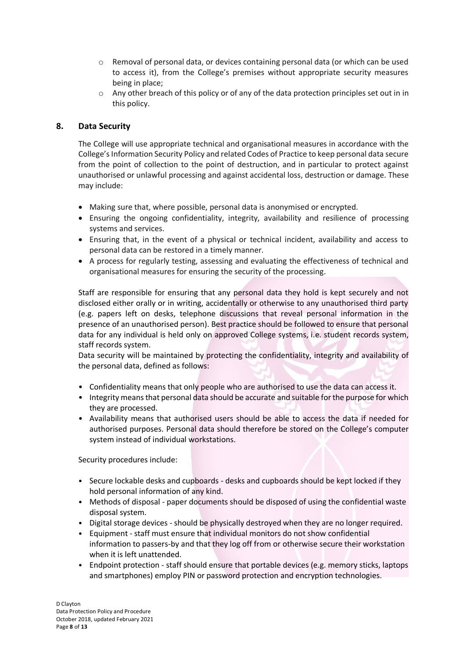- o Removal of personal data, or devices containing personal data (or which can be used to access it), from the College's premises without appropriate security measures being in place;
- $\circ$  Any other breach of this policy or of any of the data protection principles set out in in this policy.

# **8. Data Security**

The College will use appropriate technical and organisational measures in accordance with the College's Information Security Policy and related Codes of Practice to keep personal data secure from the point of collection to the point of destruction, and in particular to protect against unauthorised or unlawful processing and against accidental loss, destruction or damage. These may include:

- Making sure that, where possible, personal data is anonymised or encrypted.
- Ensuring the ongoing confidentiality, integrity, availability and resilience of processing systems and services.
- Ensuring that, in the event of a physical or technical incident, availability and access to personal data can be restored in a timely manner.
- A process for regularly testing, assessing and evaluating the effectiveness of technical and organisational measures for ensuring the security of the processing.

Staff are responsible for ensuring that any personal data they hold is kept securely and not disclosed either orally or in writing, accidentally or otherwise to any unauthorised third party (e.g. papers left on desks, telephone discussions that reveal personal information in the presence of an unauthorised person). Best practice should be followed to ensure that personal data for any individual is held only on approved College systems, i.e. student records system, staff records system.

Data security will be maintained by protecting the confidentiality, integrity and availability of the personal data, defined as follows:

- Confidentiality means that only people who are authorised to use the data can access it.
- Integrity means that personal data should be accurate and suitable for the purpose for which they are processed.
- Availability means that authorised users should be able to access the data if needed for authorised purposes. Personal data should therefore be stored on the College's computer system instead of individual workstations.

Security procedures include:

- Secure lockable desks and cupboards desks and cupboards should be kept locked if they hold personal information of any kind.
- Methods of disposal paper documents should be disposed of using the confidential waste disposal system.
- Digital storage devices should be physically destroyed when they are no longer required.
- Equipment staff must ensure that individual monitors do not show confidential information to passers-by and that they log off from or otherwise secure their workstation when it is left unattended.
- Endpoint protection staff should ensure that portable devices (e.g. memory sticks, laptops and smartphones) employ PIN or password protection and encryption technologies.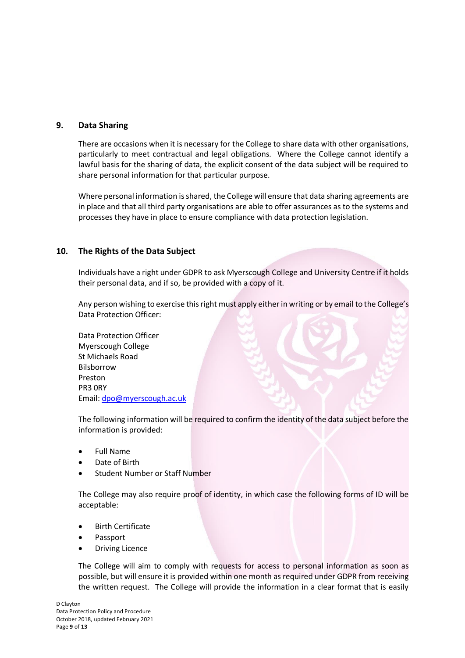# **9. Data Sharing**

There are occasions when it is necessary for the College to share data with other organisations, particularly to meet contractual and legal obligations. Where the College cannot identify a lawful basis for the sharing of data, the explicit consent of the data subject will be required to share personal information for that particular purpose.

Where personal information is shared, the College will ensure that data sharing agreements are in place and that all third party organisations are able to offer assurances as to the systems and processes they have in place to ensure compliance with data protection legislation.

# **10. The Rights of the Data Subject**

Individuals have a right under GDPR to ask Myerscough College and University Centre if it holds their personal data, and if so, be provided with a copy of it.

Any person wishing to exercise this right must apply either in writing or by email to the College's Data Protection Officer:

Data Protection Officer Myerscough College St Michaels Road Bilsborrow Preston PR3 0RY Email[: dpo@myerscough.ac.uk](mailto:dpo@myerscough.ac.uk)

The following information will be required to confirm the identity of the data subject before the information is provided:

- Full Name
- Date of Birth
- Student Number or Staff Number

The College may also require proof of identity, in which case the following forms of ID will be acceptable:

- Birth Certificate
- Passport
- **Driving Licence**

The College will aim to comply with requests for access to personal information as soon as possible, but will ensure it is provided within one month as required under GDPR from receiving the written request. The College will provide the information in a clear format that is easily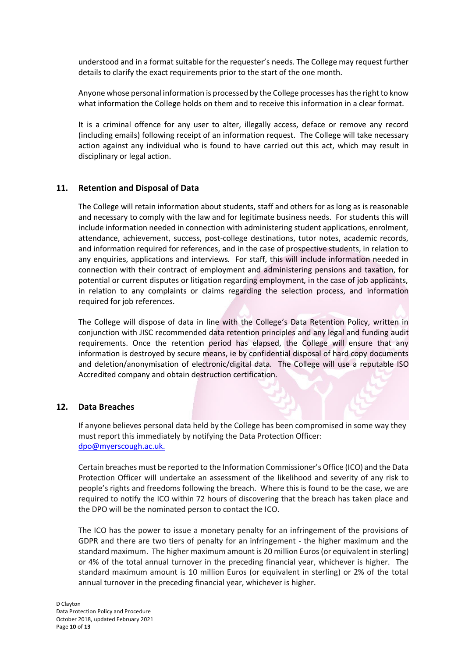understood and in a format suitable for the requester's needs. The College may request further details to clarify the exact requirements prior to the start of the one month.

Anyone whose personal information is processed by the College processes has the right to know what information the College holds on them and to receive this information in a clear format.

It is a criminal offence for any user to alter, illegally access, deface or remove any record (including emails) following receipt of an information request. The College will take necessary action against any individual who is found to have carried out this act, which may result in disciplinary or legal action.

## **11. Retention and Disposal of Data**

The College will retain information about students, staff and others for as long as is reasonable and necessary to comply with the law and for legitimate business needs. For students this will include information needed in connection with administering student applications, enrolment, attendance, achievement, success, post-college destinations, tutor notes, academic records, and information required for references, and in the case of prospective students, in relation to any enquiries, applications and interviews. For staff, this will include information needed in connection with their contract of employment and administering pensions and taxation, for potential or current disputes or litigation regarding employment, in the case of job applicants, in relation to any complaints or claims regarding the selection process, and information required for job references.

The College will dispose of data in line with the College's Data Retention Policy, written in conjunction with JISC recommended data retention principles and any legal and funding audit requirements. Once the retention period has elapsed, the College will ensure that any information is destroyed by secure means, ie by confidential disposal of hard copy documents and deletion/anonymisation of electronic/digital data. The College will use a reputable ISO Accredited company and obtain destruction certification.

#### **12. Data Breaches**

If anyone believes personal data held by the College has been compromised in some way they must report this immediately by notifying the Data Protection Officer: [dpo@myerscough.ac.uk.](mailto:dpo@myerscough.ac.uk)

Certain breaches must be reported to the Information Commissioner's Office (ICO) and the Data Protection Officer will undertake an assessment of the likelihood and severity of any risk to people's rights and freedoms following the breach. Where this is found to be the case, we are required to notify the ICO within 72 hours of discovering that the breach has taken place and the DPO will be the nominated person to contact the ICO.

The ICO has the power to issue a monetary penalty for an infringement of the provisions of GDPR and there are two tiers of penalty for an infringement - the higher maximum and the standard maximum. The higher maximum amount is 20 million Euros (or equivalent in sterling) or 4% of the total annual turnover in the preceding financial year, whichever is higher. The standard maximum amount is 10 million Euros (or equivalent in sterling) or 2% of the total annual turnover in the preceding financial year, whichever is higher.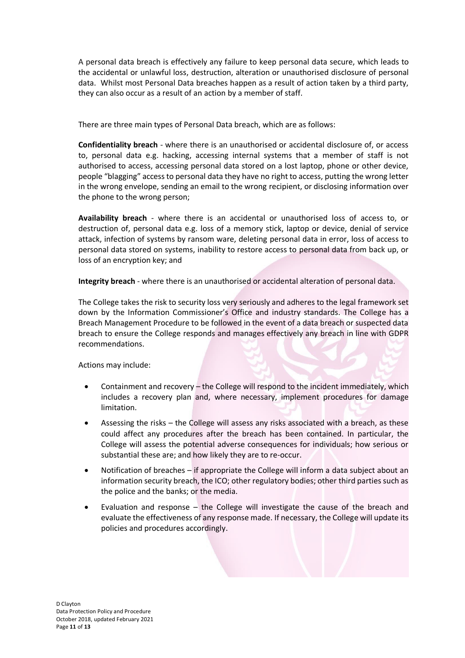A personal data breach is effectively any failure to keep personal data secure, which leads to the accidental or unlawful loss, destruction, alteration or unauthorised disclosure of personal data. Whilst most Personal Data breaches happen as a result of action taken by a third party, they can also occur as a result of an action by a member of staff.

There are three main types of Personal Data breach, which are as follows:

**Confidentiality breach** - where there is an unauthorised or accidental disclosure of, or access to, personal data e.g. hacking, accessing internal systems that a member of staff is not authorised to access, accessing personal data stored on a lost laptop, phone or other device, people "blagging" access to personal data they have no right to access, putting the wrong letter in the wrong envelope, sending an email to the wrong recipient, or disclosing information over the phone to the wrong person;

**Availability breach** - where there is an accidental or unauthorised loss of access to, or destruction of, personal data e.g. loss of a memory stick, laptop or device, denial of service attack, infection of systems by ransom ware, deleting personal data in error, loss of access to personal data stored on systems, inability to restore access to personal data from back up, or loss of an encryption key; and

**Integrity breach** - where there is an unauthorised or accidental alteration of personal data.

The College takes the risk to security loss very seriously and adheres to the legal framework set down by the Information Commissioner's Office and industry standards. The College has a Breach Management Procedure to be followed in the event of a data breach or suspected data breach to ensure the College responds and manages effectively any breach in line with GDPR recommendations.

Actions may include:

- Containment and recovery the College will respond to the incident immediately, which includes a recovery plan and, where necessary, implement procedures for damage limitation.
- Assessing the risks the College will assess any risks associated with a breach, as these could affect any procedures after the breach has been contained. In particular, the College will assess the potential adverse consequences for individuals; how serious or substantial these are; and how likely they are to re-occur.
- Notification of breaches if appropriate the College will inform a data subject about an information security breach, the ICO; other regulatory bodies; other third parties such as the police and the banks; or the media.
- Evaluation and response the College will investigate the cause of the breach and evaluate the effectiveness of any response made. If necessary, the College will update its policies and procedures accordingly.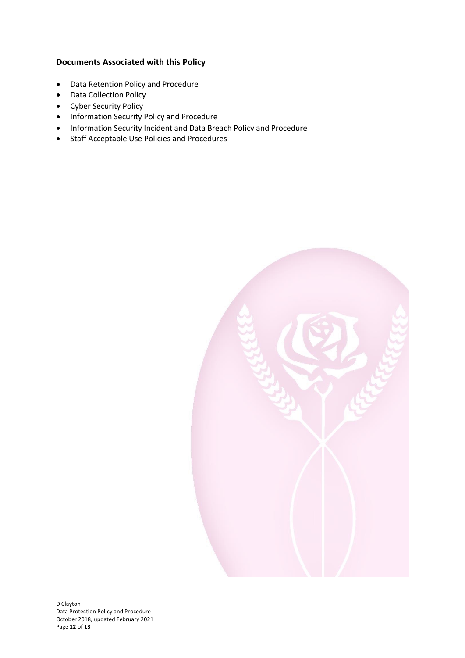# **Documents Associated with this Policy**

- Data Retention Policy and Procedure
- Data Collection Policy
- Cyber Security Policy
- Information Security Policy and Procedure
- Information Security Incident and Data Breach Policy and Procedure
- Staff Acceptable Use Policies and Procedures



D Clayton Data Protection Policy and Procedure October 2018, updated February 2021 Page **12** of **13**